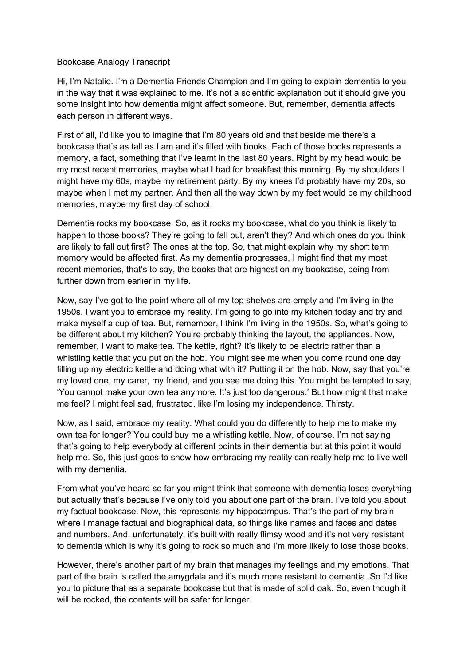## Bookcase Analogy Transcript

Hi, I'm Natalie. I'm a Dementia Friends Champion and I'm going to explain dementia to you in the way that it was explained to me. It's not a scientific explanation but it should give you some insight into how dementia might affect someone. But, remember, dementia affects each person in different ways.

First of all, I'd like you to imagine that I'm 80 years old and that beside me there's a bookcase that's as tall as I am and it's filled with books. Each of those books represents a memory, a fact, something that I've learnt in the last 80 years. Right by my head would be my most recent memories, maybe what I had for breakfast this morning. By my shoulders I might have my 60s, maybe my retirement party. By my knees I'd probably have my 20s, so maybe when I met my partner. And then all the way down by my feet would be my childhood memories, maybe my first day of school.

Dementia rocks my bookcase. So, as it rocks my bookcase, what do you think is likely to happen to those books? They're going to fall out, aren't they? And which ones do you think are likely to fall out first? The ones at the top. So, that might explain why my short term memory would be affected first. As my dementia progresses, I might find that my most recent memories, that's to say, the books that are highest on my bookcase, being from further down from earlier in my life.

Now, say I've got to the point where all of my top shelves are empty and I'm living in the 1950s. I want you to embrace my reality. I'm going to go into my kitchen today and try and make myself a cup of tea. But, remember, I think I'm living in the 1950s. So, what's going to be different about my kitchen? You're probably thinking the layout, the appliances. Now, remember, I want to make tea. The kettle, right? It's likely to be electric rather than a whistling kettle that you put on the hob. You might see me when you come round one day filling up my electric kettle and doing what with it? Putting it on the hob. Now, say that you're my loved one, my carer, my friend, and you see me doing this. You might be tempted to say, 'You cannot make your own tea anymore. It's just too dangerous.' But how might that make me feel? I might feel sad, frustrated, like I'm losing my independence. Thirsty.

Now, as I said, embrace my reality. What could you do differently to help me to make my own tea for longer? You could buy me a whistling kettle. Now, of course, I'm not saying that's going to help everybody at different points in their dementia but at this point it would help me. So, this just goes to show how embracing my reality can really help me to live well with my dementia.

From what you've heard so far you might think that someone with dementia loses everything but actually that's because I've only told you about one part of the brain. I've told you about my factual bookcase. Now, this represents my hippocampus. That's the part of my brain where I manage factual and biographical data, so things like names and faces and dates and numbers. And, unfortunately, it's built with really flimsy wood and it's not very resistant to dementia which is why it's going to rock so much and I'm more likely to lose those books.

However, there's another part of my brain that manages my feelings and my emotions. That part of the brain is called the amygdala and it's much more resistant to dementia. So I'd like you to picture that as a separate bookcase but that is made of solid oak. So, even though it will be rocked, the contents will be safer for longer.